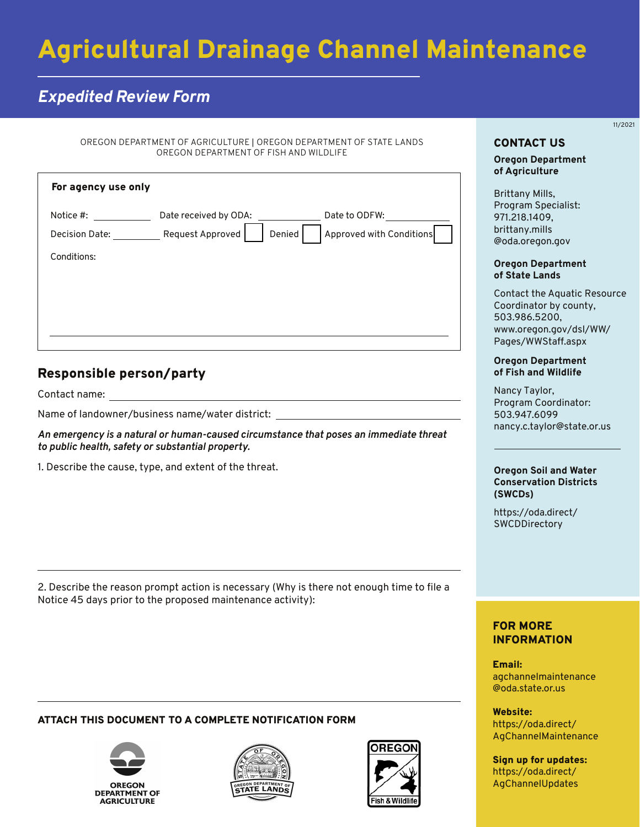# Agricultural Drainage Channel Maintenance

## *Expedited Review Form*

OREGON DEPARTMENT OF AGRICULTURE | OREGON DEPARTMENT OF STATE LANDS OREGON DEPARTMENT OF FISH AND WILDLIFE

| For agency use only         |                                                     |                                           |
|-----------------------------|-----------------------------------------------------|-------------------------------------------|
| Notice #:<br>Decision Date: | Date received by ODA:<br>Request Approved<br>Denied | Date to ODFW:<br>Approved with Conditions |
| Conditions:                 |                                                     |                                           |
|                             |                                                     |                                           |
|                             |                                                     |                                           |
|                             |                                                     |                                           |

## Responsible person/party

Contact name:

Name of landowner/business name/water district:

*An emergency is a natural or human-caused circumstance that poses an immediate threat to public health, safety or substantial property.*

1. Describe the cause, type, and extent of the threat.

2. Describe the reason prompt action is necessary (Why is there not enough time to file a Notice 45 days prior to the proposed maintenance activity):

#### ATTACH THIS DOCUMENT TO A COMPLETE NOTIFICATION FORM







## 11/2021

#### CONTACT US

**Oregon Department of Agriculture**

Brittany Mills, Program Specialist: 971.218.1409, brittany.mills [@oda.oregon.gov](mailto:brittany.mills@oda.oregon.gov) 

#### **Oregon Department of State Lands**

Contact the Aquatic Resource Coordinator by county, 503.986.5200, [www.oregon.gov/dsl/WW/](www.oregon.gov/dsl/WW/Pages/WWStaff.aspx) Pages/WWStaff.aspx

#### **Oregon Department of Fish and Wildlife**

Nancy Taylor, Program Coordinator: 503.947.6099 nancy.c.taylor@state.or.us

#### **Oregon Soil and Water Conservation Districts (SWCDs)**

[https://oda.direct/](https://oda.direct/SWCDDirectory) **SWCDDirectory** 

### FOR MORE INFORMATION

Email: [agchannelmaintenance](mailto:agchannelmaintenance@oda.oregon.gov)  @oda.state.or.us

Website: https://oda.direct/ [AgChannelMaintenance](https://oda.direct/AgChannelMaintenance)

Sign up for updates: [https://oda.direct/](https://oda.direct/AgChannelUpdates)  AgChannelUpdates